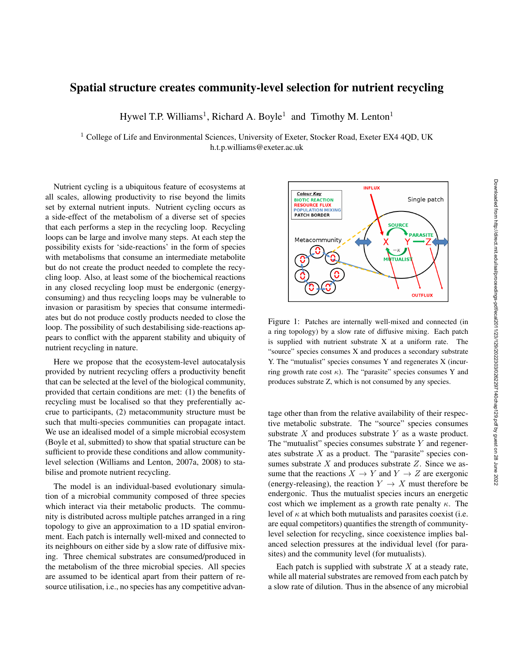## Spatial structure creates community-level selection for nutrient recycling

Hywel T.P. Williams<sup>1</sup>, Richard A. Boyle<sup>1</sup> and Timothy M. Lenton<sup>1</sup>

 $1$  College of Life and Environmental Sciences, University of Exeter, Stocker Road, Exeter EX4 4QD, UK h.t.p.williams@exeter.ac.uk

Nutrient cycling is a ubiquitous feature of ecosystems at all scales, allowing productivity to rise beyond the limits set by external nutrient inputs. Nutrient cycling occurs as a side-effect of the metabolism of a diverse set of species that each performs a step in the recycling loop. Recycling loops can be large and involve many steps. At each step the possibility exists for 'side-reactions' in the form of species with metabolisms that consume an intermediate metabolite but do not create the product needed to complete the recycling loop. Also, at least some of the biochemical reactions in any closed recycling loop must be endergonic (energyconsuming) and thus recycling loops may be vulnerable to invasion or parasitism by species that consume intermediates but do not produce costly products needed to close the loop. The possibility of such destabilising side-reactions appears to conflict with the apparent stability and ubiquity of nutrient recycling in nature.

Here we propose that the ecosystem-level autocatalysis provided by nutrient recycling offers a productivity benefit that can be selected at the level of the biological community, provided that certain conditions are met: (1) the benefits of recycling must be localised so that they preferentially accrue to participants, (2) metacommunity structure must be such that multi-species communities can propagate intact. We use an idealised model of a simple microbial ecosystem (Boyle et al, submitted) to show that spatial structure can be sufficient to provide these conditions and allow communitylevel selection (Williams and Lenton, 2007a, 2008) to stabilise and promote nutrient recycling.

The model is an individual-based evolutionary simulation of a microbial community composed of three species which interact via their metabolic products. The community is distributed across multiple patches arranged in a ring topology to give an approximation to a 1D spatial environment. Each patch is internally well-mixed and connected to its neighbours on either side by a slow rate of diffusive mixing. Three chemical substrates are consumed/produced in the metabolism of the three microbial species. All species are assumed to be identical apart from their pattern of resource utilisation, i.e., no species has any competitive advan-



Figure 1: Patches are internally well-mixed and connected (in a ring topology) by a slow rate of diffusive mixing. Each patch is supplied with nutrient substrate X at a uniform rate. The "source" species consumes X and produces a secondary substrate Y. The "mutualist" species consumes Y and regenerates X (incurring growth rate cost  $\kappa$ ). The "parasite" species consumes Y and produces substrate Z, which is not consumed by any species.

tage other than from the relative availability of their respective metabolic substrate. The "source" species consumes substrate  $X$  and produces substrate  $Y$  as a waste product. The "mutualist" species consumes substrate  $Y$  and regenerates substrate  $X$  as a product. The "parasite" species consumes substrate  $X$  and produces substrate  $Z$ . Since we assume that the reactions  $X \to Y$  and  $Y \to Z$  are exergonic (energy-releasing), the reaction  $Y \to X$  must therefore be endergonic. Thus the mutualist species incurs an energetic cost which we implement as a growth rate penalty  $\kappa$ . The level of  $\kappa$  at which both mutualists and parasites coexist (i.e. are equal competitors) quantifies the strength of communitylevel selection for recycling, since coexistence implies balanced selection pressures at the individual level (for parasites) and the community level (for mutualists).

Each patch is supplied with substrate  $X$  at a steady rate, while all material substrates are removed from each patch by a slow rate of dilution. Thus in the absence of any microbial